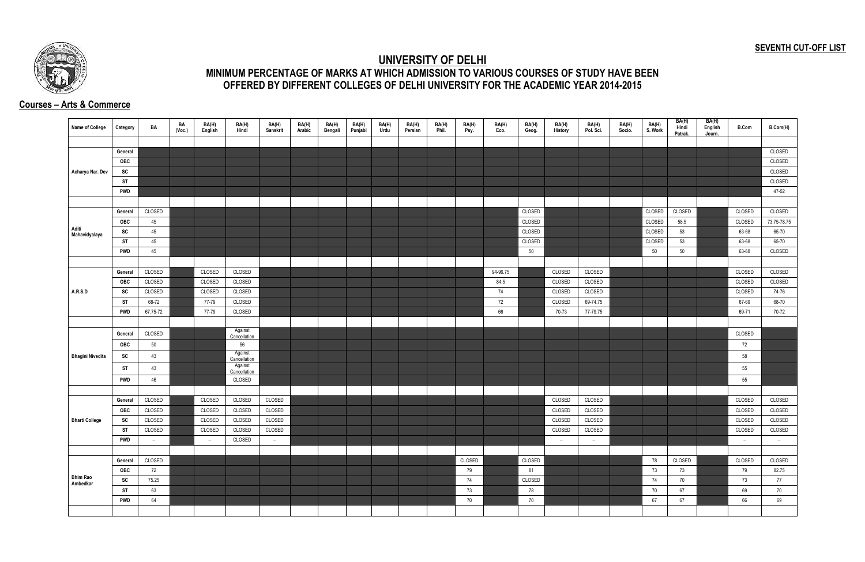## **SEVENTH CUT-OFF LIST**



## **UNIVERSITY OF DELHI MINIMUM PERCENTAGE OF MARKS AT WHICH ADMISSION TO VARIOUS COURSES OF STUDY HAVE BEEN OFFERED BY DIFFERENT COLLEGES OF DELHI UNIVERSITY FOR THE ACADEMIC YEAR 2014-2015**

## **Courses – Arts & Commerce**

| Name of College             | Category   | BA       | BA<br>(Voc.) | BA(H)<br>English | BA(H)<br>Hindi          | BA(H)<br>Sanskrit | BA(H)<br>Arabic | BA(H)<br>Bengali | BA(H)<br>Punjabi | BA(H)<br>Urdu | BA(H)<br>Persian | BA(H)<br>Phil. | BA(H)<br>Psy. | BA(H)<br>Eco. | BA(H)<br>Geog. | BA(H)<br>History | BA(H)<br>Pol. Sci. | BA(H)<br>Socio. | BA(H)<br>S. Work | BA(H)<br>Hindi<br>Patrak. | BA(H)<br>English<br>Journ. | <b>B.Com</b> | B.Com(H)    |
|-----------------------------|------------|----------|--------------|------------------|-------------------------|-------------------|-----------------|------------------|------------------|---------------|------------------|----------------|---------------|---------------|----------------|------------------|--------------------|-----------------|------------------|---------------------------|----------------------------|--------------|-------------|
|                             |            |          |              |                  |                         |                   |                 |                  |                  |               |                  |                |               |               |                |                  |                    |                 |                  |                           |                            |              |             |
|                             | General    |          |              |                  |                         |                   |                 |                  |                  |               |                  |                |               |               |                |                  |                    |                 |                  |                           |                            |              | CLOSED      |
|                             | OBC        |          |              |                  |                         |                   |                 |                  |                  |               |                  |                |               |               |                |                  |                    |                 |                  |                           |                            |              | CLOSED      |
| Acharya Nar. Dev            | SC         |          |              |                  |                         |                   |                 |                  |                  |               |                  |                |               |               |                |                  |                    |                 |                  |                           |                            |              | CLOSED      |
|                             | <b>ST</b>  |          |              |                  |                         |                   |                 |                  |                  |               |                  |                |               |               |                |                  |                    |                 |                  |                           |                            |              | CLOSED      |
|                             | <b>PWD</b> |          |              |                  |                         |                   |                 |                  |                  |               |                  |                |               |               |                |                  |                    |                 |                  |                           |                            |              | 47-52       |
|                             |            |          |              |                  |                         |                   |                 |                  |                  |               |                  |                |               |               |                |                  |                    |                 |                  |                           |                            |              |             |
|                             | General    | CLOSED   |              |                  |                         |                   |                 |                  |                  |               |                  |                |               |               | CLOSED         |                  |                    |                 | CLOSED           | CLOSED                    |                            | CLOSED       | CLOSED      |
|                             | <b>OBC</b> | 45       |              |                  |                         |                   |                 |                  |                  |               |                  |                |               |               | CLOSED         |                  |                    |                 | CLOSED           | 58.5                      |                            | CLOSED       | 73.75-78.75 |
| Aditi<br>Mahavidyalaya      | SC         | 45       |              |                  |                         |                   |                 |                  |                  |               |                  |                |               |               | CLOSED         |                  |                    |                 | CLOSED           | 53                        |                            | 63-68        | 65-70       |
|                             | <b>ST</b>  | 45       |              |                  |                         |                   |                 |                  |                  |               |                  |                |               |               | CLOSED         |                  |                    |                 | CLOSED           | 53                        |                            | 63-68        | 65-70       |
|                             | <b>PWD</b> | 45       |              |                  |                         |                   |                 |                  |                  |               |                  |                |               |               | 50             |                  |                    |                 | 50               | 50                        |                            | 63-68        | CLOSED      |
|                             |            |          |              |                  |                         |                   |                 |                  |                  |               |                  |                |               |               |                |                  |                    |                 |                  |                           |                            |              |             |
|                             | General    | CLOSED   |              | CLOSED           | CLOSED                  |                   |                 |                  |                  |               |                  |                |               | 94-96.75      |                | CLOSED           | CLOSED             |                 |                  |                           |                            | CLOSED       | CLOSED      |
|                             | OBC        | CLOSED   |              | CLOSED           | CLOSED                  |                   |                 |                  |                  |               |                  |                |               | 84.5          |                | CLOSED           | CLOSED             |                 |                  |                           |                            | CLOSED       | CLOSED      |
| <b>A.R.S.D</b>              | <b>SC</b>  | CLOSED   |              | CLOSED           | CLOSED                  |                   |                 |                  |                  |               |                  |                |               | 74            |                | CLOSED           | CLOSED             |                 |                  |                           |                            | CLOSED       | 74-76       |
|                             | ST         | 68-72    |              | 77-79            | CLOSED                  |                   |                 |                  |                  |               |                  |                |               | 72            |                | CLOSED           | 69-74.75           |                 |                  |                           |                            | 67-69        | 68-70       |
|                             | <b>PWD</b> | 67.75-72 |              | 77-79            | CLOSED                  |                   |                 |                  |                  |               |                  |                |               | 66            |                | 70-73            | 77-79.75           |                 |                  |                           |                            | 69-71        | 70-72       |
|                             |            |          |              |                  |                         |                   |                 |                  |                  |               |                  |                |               |               |                |                  |                    |                 |                  |                           |                            |              |             |
|                             | General    | CLOSED   |              |                  | Against<br>Cancellation |                   |                 |                  |                  |               |                  |                |               |               |                |                  |                    |                 |                  |                           |                            | CLOSED       |             |
|                             | OBC        | 50       |              |                  | 56                      |                   |                 |                  |                  |               |                  |                |               |               |                |                  |                    |                 |                  |                           |                            | 72           |             |
| <b>Bhagini Nivedita</b>     | <b>SC</b>  | 43       |              |                  | Against                 |                   |                 |                  |                  |               |                  |                |               |               |                |                  |                    |                 |                  |                           |                            | 58           |             |
|                             |            |          |              |                  | Cancellation<br>Against |                   |                 |                  |                  |               |                  |                |               |               |                |                  |                    |                 |                  |                           |                            |              |             |
|                             | ST         | 43       |              |                  | Cancellation            |                   |                 |                  |                  |               |                  |                |               |               |                |                  |                    |                 |                  |                           |                            | 55           |             |
|                             | <b>PWD</b> | 46       |              |                  | CLOSED                  |                   |                 |                  |                  |               |                  |                |               |               |                |                  |                    |                 |                  |                           |                            | 55           |             |
|                             |            |          |              |                  |                         |                   |                 |                  |                  |               |                  |                |               |               |                |                  |                    |                 |                  |                           |                            |              |             |
|                             | General    | CLOSED   |              | CLOSED           | CLOSED                  | CLOSED            |                 |                  |                  |               |                  |                |               |               |                | CLOSED           | CLOSED             |                 |                  |                           |                            | CLOSED       | CLOSED      |
|                             | <b>OBC</b> | CLOSED   |              | CLOSED           | CLOSED                  | CLOSED            |                 |                  |                  |               |                  |                |               |               |                | CLOSED           | CLOSED             |                 |                  |                           |                            | CLOSED       | CLOSED      |
| <b>Bharti College</b>       | SC         | CLOSED   |              | CLOSED           | CLOSED                  | CLOSED            |                 |                  |                  |               |                  |                |               |               |                | CLOSED           | CLOSED             |                 |                  |                           |                            | CLOSED       | CLOSED      |
|                             | <b>ST</b>  | CLOSED   |              | CLOSED           | CLOSED                  | CLOSED            |                 |                  |                  |               |                  |                |               |               |                | CLOSED           | CLOSED             |                 |                  |                           |                            | CLOSED       | CLOSED      |
|                             | <b>PWD</b> | $ \,$    |              | $-$              | CLOSED                  | $\sim$            |                 |                  |                  |               |                  |                |               |               |                | $ \,$            | $\sim$             |                 |                  |                           |                            | $\sim$       | $\sim$      |
|                             |            |          |              |                  |                         |                   |                 |                  |                  |               |                  |                |               |               |                |                  |                    |                 |                  |                           |                            |              |             |
|                             | General    | CLOSED   |              |                  |                         |                   |                 |                  |                  |               |                  |                | CLOSED        |               | CLOSED         |                  |                    |                 | 78               | CLOSED                    |                            | CLOSED       | CLOSED      |
|                             | OBC        | 72       |              |                  |                         |                   |                 |                  |                  |               |                  |                | 79            |               | 81             |                  |                    |                 | 73               | 73                        |                            | 79           | 82.75       |
| <b>Bhim Rao</b><br>Ambedkar | SC         | 75.25    |              |                  |                         |                   |                 |                  |                  |               |                  |                | 74            |               | CLOSED         |                  |                    |                 | 74               | 70                        |                            | 73           | 77          |
|                             | <b>ST</b>  | 63       |              |                  |                         |                   |                 |                  |                  |               |                  |                | 73            |               | 78             |                  |                    |                 | 70               | 67                        |                            | 69           | 70          |
|                             | <b>PWD</b> | 64       |              |                  |                         |                   |                 |                  |                  |               |                  |                | 70            |               | 70             |                  |                    |                 | 67               | 67                        |                            | 66           | 69          |
|                             |            |          |              |                  |                         |                   |                 |                  |                  |               |                  |                |               |               |                |                  |                    |                 |                  |                           |                            |              |             |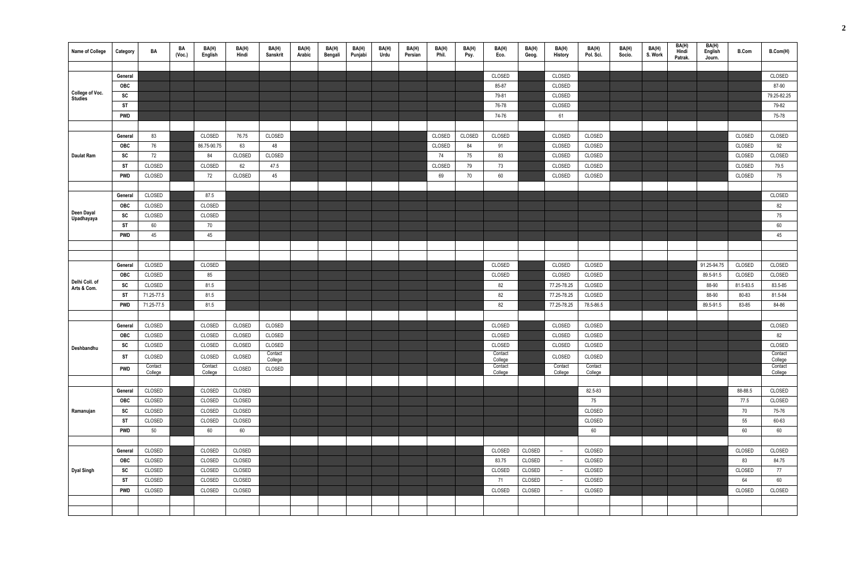| Name of College               | Category   | BA           | BA<br>(Vec.) | BA(H)<br>English  | BA(H)<br>Hindi | BA(H)<br>Sanskrit  | BA(H)<br>Arabic | BA(H)<br>Bengali | BA(H)<br>Punjabi | BA(H)<br>Urdu | BA(H)<br>Persian | BA(H)<br>Phil. | BA(H)<br>Psy. | BA(H)<br>Eco.      | BA(H)<br>Geog. | BA(H)<br><b>History</b> | BA(H)<br>Pol. Sci. | BA(H)<br>Socio. | BA(H)<br>S. Work | BA(H)<br>Hindi<br>Patrak. | BA(H)<br>English<br>Journ. | <b>B.Com</b>     | B.Com(H)           |
|-------------------------------|------------|--------------|--------------|-------------------|----------------|--------------------|-----------------|------------------|------------------|---------------|------------------|----------------|---------------|--------------------|----------------|-------------------------|--------------------|-----------------|------------------|---------------------------|----------------------------|------------------|--------------------|
|                               |            |              |              |                   |                |                    |                 |                  |                  |               |                  |                |               |                    |                |                         |                    |                 |                  |                           |                            |                  |                    |
|                               | General    |              |              |                   |                |                    |                 |                  |                  |               |                  |                |               | CLOSED             |                | CLOSED                  |                    |                 |                  |                           |                            |                  | CLOSED             |
| College of Voc.               | OBC        |              |              |                   |                |                    |                 |                  |                  |               |                  |                |               | 85-87              |                | CLOSED                  |                    |                 |                  |                           |                            |                  | 87-90              |
| Studies                       | SC         |              |              |                   |                |                    |                 |                  |                  |               |                  |                |               | 79-81              |                | CLOSED                  |                    |                 |                  |                           |                            |                  | 79.25-82.25        |
|                               | <b>ST</b>  |              |              |                   |                |                    |                 |                  |                  |               |                  |                |               | 76-78              |                | CLOSED                  |                    |                 |                  |                           |                            |                  | 79-82              |
|                               | <b>PWD</b> |              |              |                   |                |                    |                 |                  |                  |               |                  |                |               | 74-76              |                | 61                      |                    |                 |                  |                           |                            |                  | 75-78              |
|                               |            |              |              |                   |                |                    |                 |                  |                  |               |                  |                |               |                    |                |                         |                    |                 |                  |                           |                            |                  |                    |
|                               | General    | 83           |              | CLOSED            | 76.75          | CLOSED             |                 |                  |                  |               |                  | CLOSED         | CLOSED        | CLOSED             |                | CLOSED                  | CLOSED             |                 |                  |                           |                            | CLOSED           | CLOSED             |
|                               | OBC        | 76           |              | 86.75-90.75<br>84 | 63             | 48                 |                 |                  |                  |               |                  | CLOSED<br>74   | 84<br>75      | 91                 |                | CLOSED                  | CLOSED             |                 |                  |                           |                            | CLOSED<br>CLOSED | 92                 |
| Daulat Ram                    | SC<br>ST   | 72<br>CLOSED |              |                   | CLOSED         | CLOSED<br>47.5     |                 |                  |                  |               |                  |                |               | 83                 |                | CLOSED                  | CLOSED<br>CLOSED   |                 |                  |                           |                            | CLOSED           | CLOSED<br>79.5     |
|                               | PWD        | CLOSED       |              | CLOSED<br>72      | 62<br>CLOSED   | 45                 |                 |                  |                  |               |                  | CLOSED<br>69   | 79<br>70      | 73<br>60           |                | CLOSED<br>CLOSED        | CLOSED             |                 |                  |                           |                            | CLOSED           | 75                 |
|                               |            |              |              |                   |                |                    |                 |                  |                  |               |                  |                |               |                    |                |                         |                    |                 |                  |                           |                            |                  |                    |
|                               | General    | CLOSED       |              | 87.5              |                |                    |                 |                  |                  |               |                  |                |               |                    |                |                         |                    |                 |                  |                           |                            |                  | CLOSED             |
|                               | OBC        | CLOSED       |              | CLOSED            |                |                    |                 |                  |                  |               |                  |                |               |                    |                |                         |                    |                 |                  |                           |                            |                  | 82                 |
| Deen Dayal                    | SC         | CLOSED       |              | CLOSED            |                |                    |                 |                  |                  |               |                  |                |               |                    |                |                         |                    |                 |                  |                           |                            |                  | 75                 |
| Upadhayaya                    | ST         | 60           |              | 70                |                |                    |                 |                  |                  |               |                  |                |               |                    |                |                         |                    |                 |                  |                           |                            |                  | 60                 |
|                               | <b>PWD</b> | 45           |              | 45                |                |                    |                 |                  |                  |               |                  |                |               |                    |                |                         |                    |                 |                  |                           |                            |                  | 45                 |
|                               |            |              |              |                   |                |                    |                 |                  |                  |               |                  |                |               |                    |                |                         |                    |                 |                  |                           |                            |                  |                    |
|                               |            |              |              |                   |                |                    |                 |                  |                  |               |                  |                |               |                    |                |                         |                    |                 |                  |                           |                            |                  |                    |
|                               | General    | CLOSED       |              | CLOSED            |                |                    |                 |                  |                  |               |                  |                |               | CLOSED             |                | CLOSED                  | CLOSED             |                 |                  |                           | 91.25-94.75                | CLOSED           | CLOSED             |
|                               | OBC        | CLOSED       |              | 85                |                |                    |                 |                  |                  |               |                  |                |               | CLOSED             |                | CLOSED                  | CLOSED             |                 |                  |                           | 89.5-91.5                  | CLOSED           | CLOSED             |
| Delhi Coll. of<br>Arts & Com. | SC         | CLOSED       |              | 81.5              |                |                    |                 |                  |                  |               |                  |                |               | 82                 |                | 77.25-78.25             | CLOSED             |                 |                  |                           | 88-90                      | 81.5-83.5        | 83.5-85            |
|                               | ST         | 71.25-77.5   |              | 81.5              |                |                    |                 |                  |                  |               |                  |                |               | 82                 |                | 77.25-78.25             | CLOSED             |                 |                  |                           | 88-90                      | 80-83            | 81.5-84            |
|                               | <b>PWD</b> | 71.25-77.5   |              | 81.5              |                |                    |                 |                  |                  |               |                  |                |               | 82                 |                | 77.25-78.25             | 78.5-86.5          |                 |                  |                           | 89.5-91.5                  | 83-85            | 84-86              |
|                               |            |              |              |                   |                |                    |                 |                  |                  |               |                  |                |               |                    |                |                         |                    |                 |                  |                           |                            |                  |                    |
|                               | General    | CLOSED       |              | CLOSED            | CLOSED         | CLOSED             |                 |                  |                  |               |                  |                |               | CLOSED             |                | CLOSED                  | CLOSED             |                 |                  |                           |                            |                  | CLOSED             |
|                               | OBC        | CLOSED       |              | CLOSED            | CLOSED         | CLOSED             |                 |                  |                  |               |                  |                |               | CLOSED             |                | CLOSED                  | CLOSED             |                 |                  |                           |                            |                  | 82                 |
| Deshbandhu                    | SC         | CLOSED       |              | CLOSED            | CLOSED         | CLOSED             |                 |                  |                  |               |                  |                |               | CLOSED             |                | CLOSED                  | CLOSED             |                 |                  |                           |                            |                  | CLOSED             |
|                               | <b>ST</b>  | CLOSED       |              | CLOSED            | CLOSED         | Contact<br>College |                 |                  |                  |               |                  |                |               | Contact<br>College |                | CLOSED                  | CLOSED             |                 |                  |                           |                            |                  | Contact<br>College |
|                               | <b>PWD</b> | Contact      |              | Contact           | CLOSED         | CLOSED             |                 |                  |                  |               |                  |                |               | Contact            |                | Contact                 | Contact            |                 |                  |                           |                            |                  | Contact            |
|                               |            | College      |              | College           |                |                    |                 |                  |                  |               |                  |                |               | College            |                | College                 | College            |                 |                  |                           |                            |                  | College            |
|                               | General    | CLOSED       |              | CLOSED            | CLOSED         |                    |                 |                  |                  |               |                  |                |               |                    |                |                         | 82.5-83            |                 |                  |                           |                            | 88-88.5          | CLOSED             |
|                               | OBC        | CLOSED       |              | CLOSED            | CLOSED         |                    |                 |                  |                  |               |                  |                |               |                    |                |                         | 75                 |                 |                  |                           |                            | 77.5             | CLOSED             |
| Ramanujan                     | SC         | CLOSED       |              | CLOSED            | CLOSED         |                    |                 |                  |                  |               |                  |                |               |                    |                |                         | CLOSED             |                 |                  |                           |                            | 70               | 75-76              |
|                               | <b>ST</b>  | CLOSED       |              | CLOSED            | CLOSED         |                    |                 |                  |                  |               |                  |                |               |                    |                |                         | CLOSED             |                 |                  |                           |                            | 55               | 60-63              |
|                               | <b>PWD</b> | 50           |              | 60                | 60             |                    |                 |                  |                  |               |                  |                |               |                    |                |                         | 60                 |                 |                  |                           |                            | 60               | 60                 |
|                               |            |              |              |                   |                |                    |                 |                  |                  |               |                  |                |               |                    |                |                         |                    |                 |                  |                           |                            |                  |                    |
|                               | General    | CLOSED       |              | CLOSED            | CLOSED         |                    |                 |                  |                  |               |                  |                |               | CLOSED             | CLOSED         | $ \,$                   | CLOSED             |                 |                  |                           |                            | CLOSED           | CLOSED             |
|                               | OBC        | CLOSED       |              | CLOSED            | CLOSED         |                    |                 |                  |                  |               |                  |                |               | 83.75              | CLOSED         | $-$                     | CLOSED             |                 |                  |                           |                            | 83               | 84.75              |
| <b>Dyal Singh</b>             | SC         | CLOSED       |              | CLOSED            | CLOSED         |                    |                 |                  |                  |               |                  |                |               | CLOSED             | CLOSED         | $-$                     | CLOSED             |                 |                  |                           |                            | CLOSED           | 77                 |
|                               | ST         | CLOSED       |              | CLOSED            | CLOSED         |                    |                 |                  |                  |               |                  |                |               | 71                 | CLOSED         | $ \,$                   | CLOSED             |                 |                  |                           |                            | 64               | 60                 |
|                               | PWD        | CLOSED       |              | CLOSED            | CLOSED         |                    |                 |                  |                  |               |                  |                |               | CLOSED             | CLOSED         | $ \,$                   | CLOSED             |                 |                  |                           |                            | CLOSED           | CLOSED             |
|                               |            |              |              |                   |                |                    |                 |                  |                  |               |                  |                |               |                    |                |                         |                    |                 |                  |                           |                            |                  |                    |
|                               |            |              |              |                   |                |                    |                 |                  |                  |               |                  |                |               |                    |                |                         |                    |                 |                  |                           |                            |                  |                    |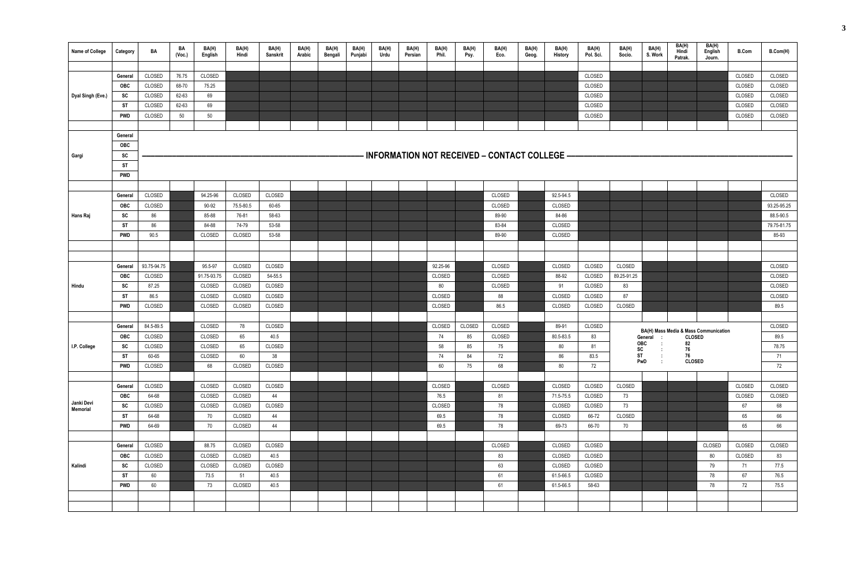| <b>Name of College</b> | Category   | BA          | BA<br>(Voc.) | BA(H)<br>English | BA(H)<br>Hindi | BA(H)<br>Sanskrit | BA(H)<br>Arabic | BA(H)<br>Bengali | BA(H)<br>Punjabi | BA(H)<br>Urdu | BA(H)<br>Persian | BA(H)<br>Phil. | BA(H)<br>Psy. | BA(H)<br>Eco.                                  | BA(H)<br>Geog. | BA(H)<br>History | BA(H)<br>Pol. Sci. | BA(H)<br>Socio. | BA(H)<br>S. Work     | BA(H)<br>Hindi<br>Patrak. | BA(H)<br>English<br>Journ.            | <b>B.Com</b> | B.Com(H)      |
|------------------------|------------|-------------|--------------|------------------|----------------|-------------------|-----------------|------------------|------------------|---------------|------------------|----------------|---------------|------------------------------------------------|----------------|------------------|--------------------|-----------------|----------------------|---------------------------|---------------------------------------|--------------|---------------|
|                        |            |             |              |                  |                |                   |                 |                  |                  |               |                  |                |               |                                                |                |                  |                    |                 |                      |                           |                                       |              |               |
|                        | General    | CLOSED      | 76.75        | CLOSED           |                |                   |                 |                  |                  |               |                  |                |               |                                                |                |                  | CLOSED             |                 |                      |                           |                                       | CLOSED       | CLOSED        |
|                        | OBC        | CLOSED      | 68-70        | 75.25            |                |                   |                 |                  |                  |               |                  |                |               |                                                |                |                  | CLOSED             |                 |                      |                           |                                       | CLOSED       | CLOSED        |
| Dyal Singh (Eve.)      | SC         | CLOSED      | 62-63        | 69               |                |                   |                 |                  |                  |               |                  |                |               |                                                |                |                  | CLOSED             |                 |                      |                           |                                       | CLOSED       | CLOSED        |
|                        | ST         | CLOSED      | 62-63        | 69               |                |                   |                 |                  |                  |               |                  |                |               |                                                |                |                  | CLOSED             |                 |                      |                           |                                       | CLOSED       | CLOSED        |
|                        | PWD        | CLOSED      | 50           | 50               |                |                   |                 |                  |                  |               |                  |                |               |                                                |                |                  | <b>CLOSED</b>      |                 |                      |                           |                                       | CLOSED       | CLOSED        |
|                        |            |             |              |                  |                |                   |                 |                  |                  |               |                  |                |               |                                                |                |                  |                    |                 |                      |                           |                                       |              |               |
|                        | General    |             |              |                  |                |                   |                 |                  |                  |               |                  |                |               |                                                |                |                  |                    |                 |                      |                           |                                       |              |               |
|                        | OBC        |             |              |                  |                |                   |                 |                  |                  |               |                  |                |               |                                                |                |                  |                    |                 |                      |                           |                                       |              |               |
| Gargi                  | SC         |             |              |                  |                |                   |                 |                  |                  |               |                  |                |               | - INFORMATION NOT RECEIVED – CONTACT COLLEGE – |                |                  |                    |                 |                      |                           |                                       |              |               |
|                        | <b>ST</b>  |             |              |                  |                |                   |                 |                  |                  |               |                  |                |               |                                                |                |                  |                    |                 |                      |                           |                                       |              |               |
|                        | <b>PWD</b> |             |              |                  |                |                   |                 |                  |                  |               |                  |                |               |                                                |                |                  |                    |                 |                      |                           |                                       |              |               |
|                        | General    | CLOSED      |              | 94.25-96         | CLOSED         | <b>CLOSED</b>     |                 |                  |                  |               |                  |                |               | CLOSED                                         |                | 92.5-94.5        |                    |                 |                      |                           |                                       |              | CLOSED        |
|                        | <b>OBC</b> | CLOSED      |              | 90-92            | 75.5-80.5      | 60-65             |                 |                  |                  |               |                  |                |               | CLOSED                                         |                | CLOSED           |                    |                 |                      |                           |                                       |              | 93.25-95.25   |
| Hans Raj               | SC         | 86          |              | 85-88            | 76-81          | 58-63             |                 |                  |                  |               |                  |                |               | 89-90                                          |                | 84-86            |                    |                 |                      |                           |                                       |              | 88.5-90.5     |
|                        | ST         | 86          |              | 84-88            | 74-79          | 53-58             |                 |                  |                  |               |                  |                |               | 83-84                                          |                | CLOSED           |                    |                 |                      |                           |                                       |              | 79.75-81.75   |
|                        | <b>PWD</b> | 90.5        |              | CLOSED           | CLOSED         | 53-58             |                 |                  |                  |               |                  |                |               | 89-90                                          |                | CLOSED           |                    |                 |                      |                           |                                       |              | 85-93         |
|                        |            |             |              |                  |                |                   |                 |                  |                  |               |                  |                |               |                                                |                |                  |                    |                 |                      |                           |                                       |              |               |
|                        |            |             |              |                  |                |                   |                 |                  |                  |               |                  |                |               |                                                |                |                  |                    |                 |                      |                           |                                       |              |               |
|                        | General    | 93.75-94.75 |              | 95.5-97          | CLOSED         | CLOSED            |                 |                  |                  |               |                  | 92.25-96       |               | CLOSED                                         |                | CLOSED           | CLOSED             | CLOSED          |                      |                           |                                       |              | CLOSED        |
|                        | <b>OBC</b> | CLOSED      |              | 91.75-93.75      | CLOSED         | 54-55.5           |                 |                  |                  |               |                  | <b>CLOSED</b>  |               | CLOSED                                         |                | 88-92            | CLOSED             | 89.25-91.25     |                      |                           |                                       |              | <b>CLOSED</b> |
| Hindu                  | SC         | 87.25       |              | CLOSED           | CLOSED         | CLOSED            |                 |                  |                  |               |                  | 80             |               | CLOSED                                         |                | 91               | CLOSED             | 83              |                      |                           |                                       |              | CLOSED        |
|                        | ST         | 86.5        |              | CLOSED           | CLOSED         | CLOSED            |                 |                  |                  |               |                  | CLOSED         |               | 88                                             |                | CLOSED           | CLOSED             | 87              |                      |                           |                                       |              | CLOSED        |
|                        | PWD        | CLOSED      |              | CLOSED           | CLOSED         | CLOSED            |                 |                  |                  |               |                  | CLOSED         |               | 86.5                                           |                | CLOSED           | CLOSED             | CLOSED          |                      |                           |                                       |              | 89.5          |
|                        |            |             |              |                  |                |                   |                 |                  |                  |               |                  |                |               |                                                |                |                  |                    |                 |                      |                           |                                       |              |               |
|                        | General    | 84.5-89.5   |              | CLOSED           | 78             | CLOSED            |                 |                  |                  |               |                  | CLOSED         | CLOSED        | CLOSED                                         |                | 89-91            | CLOSED             |                 |                      |                           |                                       |              | CLOSED        |
|                        | <b>OBC</b> | CLOSED      |              | CLOSED           | 65             | 40.5              |                 |                  |                  |               |                  | 74             | 85            | CLOSED                                         |                | 80.5-83.5        | 83                 |                 | General<br>$\sim 10$ | <b>CLOSED</b>             | BA(H) Mass Media & Mass Communication |              | 89.5          |
| I.P. College           | SC         | CLOSED      |              | CLOSED           | 65             | CLOSED            |                 |                  |                  |               |                  | 58             | 85            | 75                                             |                | 80               | 81                 | SC              | <b>OBC</b><br>- 1    | 82<br>76                  |                                       |              | 78.75         |
|                        | ST         | 60-65       |              | CLOSED           | 60             | 38                |                 |                  |                  |               |                  | 74             | 84            | 72                                             |                | 86               | 83.5               | ST              |                      | 76                        |                                       |              | 71            |
|                        | PWD        | CLOSED      |              | 68               | CLOSED         | CLOSED            |                 |                  |                  |               |                  | 60             | 75            | 68                                             |                | $80\,$           | 72                 |                 | PwD                  | <b>CLOSED</b>             |                                       |              | 72            |
|                        |            |             |              |                  |                |                   |                 |                  |                  |               |                  |                |               |                                                |                |                  |                    |                 |                      |                           |                                       |              |               |
|                        | General    | CLOSED      |              | CLOSED           | CLOSED         | CLOSED            |                 |                  |                  |               |                  | CLOSED         |               | CLOSED                                         |                | CLOSED           | CLOSED             | CLOSED          |                      |                           |                                       | CLOSED       | CLOSED        |
|                        | OBC        | 64-68       |              | CLOSED           | CLOSED         | 44                |                 |                  |                  |               |                  | 76.5           |               | 81                                             |                | 71.5-75.5        | CLOSED             | 73              |                      |                           |                                       | CLOSED       | CLOSED        |
| Janki Devi<br>Memorial | SC         | CLOSED      |              | CLOSED           | CLOSED         | CLOSED            |                 |                  |                  |               |                  | CLOSED         |               | 78                                             |                | CLOSED           | CLOSED             | 73              |                      |                           |                                       | 67           | 68            |
|                        | <b>ST</b>  | 64-68       |              | 70               | CLOSED         | 44                |                 |                  |                  |               |                  | 69.5           |               | 78                                             |                | CLOSED           | 66-72              | CLOSED          |                      |                           |                                       | 65           | 66            |
|                        | <b>PWD</b> | 64-69       |              | 70               | CLOSED         | 44                |                 |                  |                  |               |                  | 69.5           |               | 78                                             |                | 69-73            | 66-70              | 70              |                      |                           |                                       | 65           | 66            |
|                        |            |             |              |                  |                |                   |                 |                  |                  |               |                  |                |               |                                                |                |                  |                    |                 |                      |                           |                                       |              |               |
|                        | General    | CLOSED      |              | 88.75            | CLOSED         | CLOSED            |                 |                  |                  |               |                  |                |               | CLOSED                                         |                | CLOSED           | CLOSED             |                 |                      |                           | CLOSED                                | CLOSED       | CLOSED        |
|                        | OBC        | CLOSED      |              | CLOSED           | CLOSED         | 40.5              |                 |                  |                  |               |                  |                |               | 83                                             |                | CLOSED           | CLOSED             |                 |                      |                           | 80                                    | CLOSED       | 83            |
| Kalindi                | SC         | CLOSED      |              | CLOSED           | CLOSED         | CLOSED            |                 |                  |                  |               |                  |                |               | 63                                             |                | CLOSED           | CLOSED             |                 |                      |                           | 79                                    | 71           | 77.5          |
|                        | ST         | 60          |              | 73.5             | 51             | 40.5              |                 |                  |                  |               |                  |                |               | 61                                             |                | 61.5-66.5        | CLOSED             |                 |                      |                           | 78                                    | 67           | 76.5          |
|                        | <b>PWD</b> | 60          |              | 73               | CLOSED         | 40.5              |                 |                  |                  |               |                  |                |               | 61                                             |                | 61.5-66.5        | 58-63              |                 |                      |                           | 78                                    | 72           | 75.5          |
|                        |            |             |              |                  |                |                   |                 |                  |                  |               |                  |                |               |                                                |                |                  |                    |                 |                      |                           |                                       |              |               |
|                        |            |             |              |                  |                |                   |                 |                  |                  |               |                  |                |               |                                                |                |                  |                    |                 |                      |                           |                                       |              |               |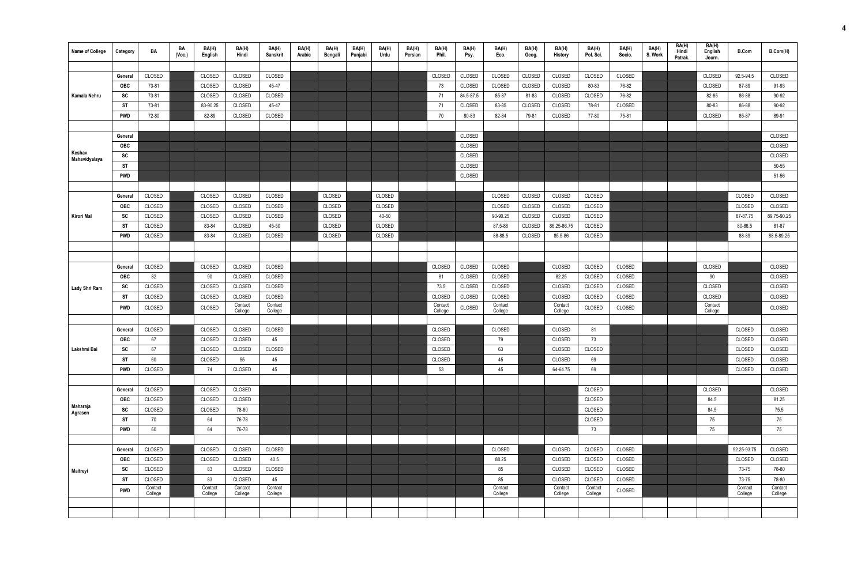| Name of College     | Category   | BA                | BA<br>(Vec.) | BA(H)<br>English | BA(H)<br>Hindi     | BA(H)<br><b>Sanskrit</b> | BA(H)<br>Arabic | BA(H)<br>Bengali | BA(H)<br>Punjabi | BA(H)<br>Urdu | BA(H)<br>Persian | BA(H)<br>Phil.     | BA(H)<br>Psy. | BA(H)<br>Eco.      | BA(H)<br>Geog. | BA(H)<br><b>History</b> | BA(H)<br>Pol. Sci. | BA(H)<br>Socio. | BA(H)<br>S. Work | BA(H)<br>Hindi<br>Patrak. | BA(H)<br>English<br>Journ. | <b>B.Com</b>     | B.Com(H)         |
|---------------------|------------|-------------------|--------------|------------------|--------------------|--------------------------|-----------------|------------------|------------------|---------------|------------------|--------------------|---------------|--------------------|----------------|-------------------------|--------------------|-----------------|------------------|---------------------------|----------------------------|------------------|------------------|
|                     |            |                   |              |                  |                    |                          |                 |                  |                  |               |                  |                    |               |                    |                |                         |                    |                 |                  |                           |                            |                  |                  |
|                     | General    | CLOSED            |              | CLOSED           | CLOSED             | CLOSED                   |                 |                  |                  |               |                  | CLOSED             | CLOSED        | CLOSED             | CLOSED         | CLOSED                  | CLOSED             | CLOSED          |                  |                           | CLOSED                     | 92.5-94.5        | CLOSED           |
|                     | <b>OBC</b> | 73-81             |              | CLOSED           | CLOSED             | 45-47                    |                 |                  |                  |               |                  | 73                 | CLOSED        | CLOSED             | CLOSED         | CLOSED                  | 80-83              | 76-82           |                  |                           | CLOSED                     | 87-89            | 91-93            |
| Kamala Nehru        | SC         | 73-81             |              | CLOSED           | CLOSED             | CLOSED                   |                 |                  |                  |               |                  | 71                 | 84.5-87.5     | 85-87              | 81-83          | CLOSED                  | CLOSED             | 76-82           |                  |                           | 82-85                      | 86-88            | 90-92            |
|                     | ST         | 73-81             |              | 83-90.25         | CLOSED             | 45-47                    |                 |                  |                  |               |                  | 71                 | CLOSED        | 83-85              | CLOSED         | CLOSED                  | 78-81              | CLOSED          |                  |                           | 80-83                      | 86-88            | 90-92            |
|                     | <b>PWD</b> | 72-80             |              | 82-89            | CLOSED             | CLOSED                   |                 |                  |                  |               |                  | 70                 | 80-83         | 82-84              | 79-81          | CLOSED                  | 77-80              | 75-81           |                  |                           | CLOSED                     | 85-87            | 89-91            |
|                     |            |                   |              |                  |                    |                          |                 |                  |                  |               |                  |                    |               |                    |                |                         |                    |                 |                  |                           |                            |                  |                  |
|                     | General    |                   |              |                  |                    |                          |                 |                  |                  |               |                  |                    | CLOSED        |                    |                |                         |                    |                 |                  |                           |                            |                  | CLOSED           |
| Keshav              | OBC        |                   |              |                  |                    |                          |                 |                  |                  |               |                  |                    | CLOSED        |                    |                |                         |                    |                 |                  |                           |                            |                  | CLOSED           |
| Mahavidyalaya       | SC         |                   |              |                  |                    |                          |                 |                  |                  |               |                  |                    | CLOSED        |                    |                |                         |                    |                 |                  |                           |                            |                  | CLOSED           |
|                     | ST         |                   |              |                  |                    |                          |                 |                  |                  |               |                  |                    | CLOSED        |                    |                |                         |                    |                 |                  |                           |                            |                  | 50-55            |
|                     | <b>PWD</b> |                   |              |                  |                    |                          |                 |                  |                  |               |                  |                    | CLOSED        |                    |                |                         |                    |                 |                  |                           |                            |                  | 51-56            |
|                     |            |                   |              |                  |                    |                          |                 |                  |                  |               |                  |                    |               |                    |                |                         |                    |                 |                  |                           |                            |                  |                  |
|                     | General    | CLOSED            |              | CLOSED           | CLOSED             | CLOSED                   |                 | CLOSED           |                  | CLOSED        |                  |                    |               | CLOSED             | CLOSED         | CLOSED                  | CLOSED             |                 |                  |                           |                            | CLOSED           | CLOSED           |
|                     | <b>OBC</b> | CLOSED            |              | CLOSED           | CLOSED             | CLOSED                   |                 | CLOSED           |                  | CLOSED        |                  |                    |               | CLOSED             | CLOSED         | CLOSED                  | CLOSED             |                 |                  |                           |                            | CLOSED           | CLOSED           |
| Kirori Mal          | <b>SC</b>  | CLOSED            |              | CLOSED           | CLOSED             | CLOSED                   |                 | CLOSED           |                  | 40-50         |                  |                    |               | 90-90.25           | CLOSED         | CLOSED                  | CLOSED             |                 |                  |                           |                            | 87-87.75         | 89.75-90.25      |
|                     | ST         | CLOSED            |              | 83-84            | CLOSED             | 45-50                    |                 | CLOSED           |                  | CLOSED        |                  |                    |               | 87.5-88            | CLOSED         | 86.25-86.75             | CLOSED             |                 |                  |                           |                            | 80-86.5          | 81-87            |
|                     | <b>PWD</b> | CLOSED            |              | 83-84            | CLOSED             | CLOSED                   |                 | CLOSED           |                  | CLOSED        |                  |                    |               | 88-88.5            | CLOSED         | 85.5-86                 | CLOSED             |                 |                  |                           |                            | 88-89            | 88.5-89.25       |
|                     |            |                   |              |                  |                    |                          |                 |                  |                  |               |                  |                    |               |                    |                |                         |                    |                 |                  |                           |                            |                  |                  |
|                     |            |                   |              |                  |                    |                          |                 |                  |                  |               |                  |                    |               |                    |                |                         |                    |                 |                  |                           |                            |                  |                  |
|                     | General    | CLOSED            |              | CLOSED           | CLOSED             | CLOSED                   |                 |                  |                  |               |                  | CLOSED             | CLOSED        | CLOSED             |                | CLOSED                  | CLOSED             | CLOSED          |                  |                           | CLOSED                     |                  | CLOSED           |
|                     | <b>OBC</b> | 82                |              | 90               | CLOSED             | CLOSED                   |                 |                  |                  |               |                  | 81                 | CLOSED        | CLOSED             |                | 82.25                   | CLOSED             | CLOSED          |                  |                           | $90\,$                     |                  | CLOSED           |
| Lady Shri Ram       | SC         | CLOSED            |              | CLOSED           | CLOSED             | CLOSED                   |                 |                  |                  |               |                  | 73.5               | CLOSED        | CLOSED             |                | CLOSED                  | CLOSED             | CLOSED          |                  |                           | CLOSED                     |                  | CLOSED           |
|                     | <b>ST</b>  | CLOSED            |              | CLOSED           | CLOSED             | CLOSED                   |                 |                  |                  |               |                  | CLOSED             | CLOSED        | CLOSED             |                | CLOSED                  | CLOSED             | CLOSED          |                  |                           | CLOSED                     |                  | CLOSED           |
|                     | <b>PWD</b> | CLOSED            |              | CLOSED           | Contact<br>College | Contact<br>College       |                 |                  |                  |               |                  | Contact<br>College | CLOSED        | Contact<br>College |                | Contact<br>College      | CLOSED             | CLOSED          |                  |                           | Contact<br>College         |                  | CLOSED           |
|                     |            |                   |              |                  |                    |                          |                 |                  |                  |               |                  |                    |               |                    |                |                         |                    |                 |                  |                           |                            |                  |                  |
|                     | General    | CLOSED            |              | CLOSED           | CLOSED             | CLOSED                   |                 |                  |                  |               |                  | CLOSED             |               | CLOSED             |                | CLOSED                  | 81                 |                 |                  |                           |                            | CLOSED           | CLOSED           |
|                     | OBC        | 67                |              | CLOSED           | CLOSED             | 45                       |                 |                  |                  |               |                  | CLOSED             |               | 79                 |                | CLOSED                  | 73                 |                 |                  |                           |                            | CLOSED           | CLOSED           |
| Lakshmi Bai         | SC         | 67                |              | CLOSED           | CLOSED             | CLOSED                   |                 |                  |                  |               |                  | CLOSED             |               | 63                 |                | CLOSED                  | CLOSED             |                 |                  |                           |                            | CLOSED           | CLOSED           |
|                     | <b>ST</b>  | 60                |              | CLOSED           | 55                 | 45                       |                 |                  |                  |               |                  | CLOSED             |               | 45                 |                | CLOSED                  | 69                 |                 |                  |                           |                            | CLOSED           | CLOSED           |
|                     | <b>PWD</b> | CLOSED            |              | 74               | CLOSED             | 45                       |                 |                  |                  |               |                  | 53                 |               | 45                 |                | 64-64.75                | 69                 |                 |                  |                           |                            | CLOSED           | CLOSED           |
|                     |            |                   |              |                  |                    |                          |                 |                  |                  |               |                  |                    |               |                    |                |                         |                    |                 |                  |                           |                            |                  |                  |
|                     | General    | CLOSED            |              | CLOSED           | CLOSED             |                          |                 |                  |                  |               |                  |                    |               |                    |                |                         | CLOSED             |                 |                  |                           | CLOSED                     |                  | CLOSED           |
|                     | <b>OBC</b> | CLOSED            |              | CLOSED           | CLOSED             |                          |                 |                  |                  |               |                  |                    |               |                    |                |                         | CLOSED             |                 |                  |                           | 84.5                       |                  | 81.25            |
| Maharaja<br>Agrasen | SC         | CLOSED            |              | CLOSED           | 78-80              |                          |                 |                  |                  |               |                  |                    |               |                    |                |                         | CLOSED             |                 |                  |                           | 84.5                       |                  | 75.5             |
|                     | <b>ST</b>  | 70                |              | 64               | 76-78              |                          |                 |                  |                  |               |                  |                    |               |                    |                |                         | CLOSED             |                 |                  |                           | 75                         |                  | 75               |
|                     | <b>PWD</b> | 60                |              | 64               | 76-78              |                          |                 |                  |                  |               |                  |                    |               |                    |                |                         | 73                 |                 |                  |                           | 75                         |                  | 75               |
|                     |            |                   |              |                  |                    |                          |                 |                  |                  |               |                  |                    |               |                    |                |                         |                    |                 |                  |                           |                            |                  |                  |
|                     | General    | CLOSED            |              | CLOSED           | CLOSED             | CLOSED                   |                 |                  |                  |               |                  |                    |               | CLOSED             |                | CLOSED                  | CLOSED             | CLOSED          |                  |                           |                            | 92.25-93.75      | CLOSED           |
|                     | <b>OBC</b> | CLOSED            |              | CLOSED           | CLOSED             | 40.5                     |                 |                  |                  |               |                  |                    |               | 88.25              |                | CLOSED                  | CLOSED             | CLOSED          |                  |                           |                            | CLOSED           | CLOSED           |
| Maitreyi            | SC         | CLOSED            |              | 83               | CLOSED             | CLOSED                   |                 |                  |                  |               |                  |                    |               | 85                 |                | CLOSED                  | CLOSED             | CLOSED          |                  |                           |                            | 73-75            | 78-80            |
|                     | ST         | CLOSED<br>Contact |              | 83<br>Contact    | CLOSED<br>Contact  | 45<br>Contact            |                 |                  |                  |               |                  |                    |               | 85<br>Contact      |                | CLOSED<br>Contact       | CLOSED<br>Contact  | CLOSED          |                  |                           |                            | 73-75<br>Contact | 78-80<br>Contact |
|                     | <b>PWD</b> | College           |              | College          | College            | College                  |                 |                  |                  |               |                  |                    |               | College            |                | College                 | College            | CLOSED          |                  |                           |                            | College          | College          |
|                     |            |                   |              |                  |                    |                          |                 |                  |                  |               |                  |                    |               |                    |                |                         |                    |                 |                  |                           |                            |                  |                  |
|                     |            |                   |              |                  |                    |                          |                 |                  |                  |               |                  |                    |               |                    |                |                         |                    |                 |                  |                           |                            |                  |                  |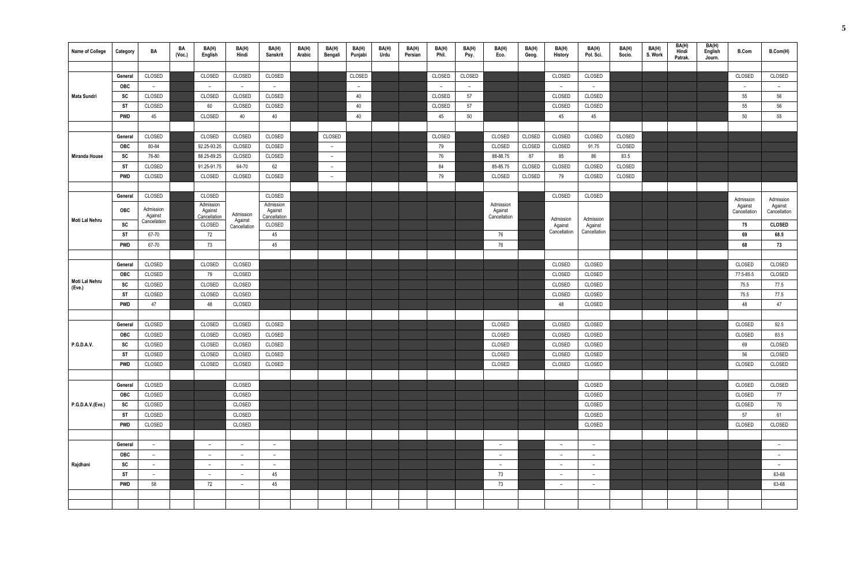| <b>Name of College</b> | Category   | BA                      | BA<br>(Voc.) | BA(H)<br>English         | BA(H)<br>Hindi           | BA(H)<br><b>Sanskrit</b> | BA(H)<br>Arabic | BA(H)<br>Bengali         | BA(H)<br>Punjabi         | BA(H)<br>Urdu | BA(H)<br>Persian | BA(H)<br>Phil. | BA(H)<br>Psy. | BA(H)<br>Eco. | BA(H)<br>Geog. | BA(H)<br>History         | BA(H)<br>Pol. Sci.       | BA(H)<br>Socio. | BA(H)<br>S. Work | BA(H)<br>Hindi<br>Patrak. | BA(H)<br>English<br>Journ. | <b>B.Com</b>            | B.Com(H)                |
|------------------------|------------|-------------------------|--------------|--------------------------|--------------------------|--------------------------|-----------------|--------------------------|--------------------------|---------------|------------------|----------------|---------------|---------------|----------------|--------------------------|--------------------------|-----------------|------------------|---------------------------|----------------------------|-------------------------|-------------------------|
|                        |            |                         |              |                          |                          |                          |                 |                          |                          |               |                  |                |               |               |                |                          |                          |                 |                  |                           |                            |                         |                         |
|                        | General    | CLOSED                  |              | CLOSED                   | CLOSED                   | CLOSED                   |                 |                          | CLOSED                   |               |                  | CLOSED         | CLOSED        |               |                | CLOSED                   | CLOSED                   |                 |                  |                           |                            | CLOSED                  | CLOSED                  |
|                        | <b>OBC</b> | $ \,$                   |              | $ \,$                    | $-$                      | $\overline{a}$           |                 |                          | $\overline{\phantom{0}}$ |               |                  | $-$            | $ \,$         |               |                | $\overline{\phantom{a}}$ | $ \,$                    |                 |                  |                           |                            | $ \,$                   | $ \,$                   |
| Mata Sundri            | SC         | CLOSED                  |              | CLOSED                   | CLOSED                   | CLOSED                   |                 |                          | 40                       |               |                  | CLOSED         | 57            |               |                | CLOSED                   | CLOSED                   |                 |                  |                           |                            | 55                      | 56                      |
|                        | <b>ST</b>  | CLOSED                  |              | 60                       | CLOSED                   | CLOSED                   |                 |                          | 40                       |               |                  | CLOSED         | 57            |               |                | CLOSED                   | CLOSED                   |                 |                  |                           |                            | 55                      | 56                      |
|                        | <b>PWD</b> | 45                      |              | CLOSED                   | 40                       | 40                       |                 |                          | 40                       |               |                  | 45             | 50            |               |                | 45                       | 45                       |                 |                  |                           |                            | 50                      | 55                      |
|                        |            |                         |              |                          |                          |                          |                 |                          |                          |               |                  |                |               |               |                |                          |                          |                 |                  |                           |                            |                         |                         |
|                        | General    | CLOSED                  |              | CLOSED                   | CLOSED                   | CLOSED                   |                 | CLOSED                   |                          |               |                  | CLOSED         |               | CLOSED        | CLOSED         | CLOSED                   | CLOSED                   | CLOSED          |                  |                           |                            |                         |                         |
|                        | OBC        | 80-84                   |              | 92.25-93.25              | CLOSED                   | CLOSED                   |                 | $ \,$                    |                          |               |                  | 79             |               | CLOSED        | CLOSED         | CLOSED                   | 91.75                    | CLOSED          |                  |                           |                            |                         |                         |
| Miranda House          | SC         | 76-80                   |              | 88.25-89.25              | CLOSED                   | CLOSED                   |                 | $\overline{\phantom{0}}$ |                          |               |                  | 76             |               | 88-88.75      | 87             | 85                       | 86                       | 83.5            |                  |                           |                            |                         |                         |
|                        | <b>ST</b>  | CLOSED                  |              | 91.25-91.75              | 64-70                    | 62                       |                 | $ \,$                    |                          |               |                  | 84             |               | 85-85.75      | CLOSED         | CLOSED                   | CLOSED                   | CLOSED          |                  |                           |                            |                         |                         |
|                        | <b>PWD</b> | CLOSED                  |              | CLOSED                   | CLOSED                   | CLOSED                   |                 | $ \,$                    |                          |               |                  | 79             |               | CLOSED        | CLOSED         | 79                       | CLOSED                   | CLOSED          |                  |                           |                            |                         |                         |
|                        |            |                         |              |                          |                          |                          |                 |                          |                          |               |                  |                |               |               |                |                          |                          |                 |                  |                           |                            |                         |                         |
|                        | General    | CLOSED                  |              | CLOSED                   |                          | CLOSED                   |                 |                          |                          |               |                  |                |               | Admission     |                | CLOSED                   | CLOSED                   |                 |                  |                           |                            | Admission               | Admission               |
|                        | <b>OBC</b> | Admission               |              | Admission<br>Against     | Admission                | Admission<br>Against     |                 |                          |                          |               |                  |                |               | Against       |                |                          |                          |                 |                  |                           |                            | Against<br>Cancellation | Against<br>Cancellation |
| Moti Lal Nehru         | <b>SC</b>  | Against<br>Cancellation |              | Cancellation<br>CLOSED   | Against                  | Cancellation<br>CLOSED   |                 |                          |                          |               |                  |                |               | Cancellation  |                | Admission                | Admission                |                 |                  |                           |                            | 75                      | <b>CLOSED</b>           |
|                        | <b>ST</b>  | 67-70                   |              | 72                       | Cancellation             | 45                       |                 |                          |                          |               |                  |                |               | 76            |                | Against<br>Cancellation  | Against<br>Cancellation  |                 |                  |                           |                            | 69                      | 68.5                    |
|                        | PWD        | 67-70                   |              | 73                       |                          | 45                       |                 |                          |                          |               |                  |                |               | 76            |                |                          |                          |                 |                  |                           |                            | 68                      | 73                      |
|                        |            |                         |              |                          |                          |                          |                 |                          |                          |               |                  |                |               |               |                |                          |                          |                 |                  |                           |                            |                         |                         |
|                        | General    | CLOSED                  |              | CLOSED                   | CLOSED                   |                          |                 |                          |                          |               |                  |                |               |               |                | CLOSED                   | CLOSED                   |                 |                  |                           |                            | CLOSED                  | CLOSED                  |
|                        | OBC        | CLOSED                  |              | 79                       | CLOSED                   |                          |                 |                          |                          |               |                  |                |               |               |                | CLOSED                   | CLOSED                   |                 |                  |                           |                            | 77.5-85.5               | CLOSED                  |
| Moti Lal Nehru         | SC         | CLOSED                  |              | CLOSED                   | CLOSED                   |                          |                 |                          |                          |               |                  |                |               |               |                | CLOSED                   | CLOSED                   |                 |                  |                           |                            | 75.5                    | 77.5                    |
| (Eve.)                 | <b>ST</b>  | CLOSED                  |              | CLOSED                   | CLOSED                   |                          |                 |                          |                          |               |                  |                |               |               |                | CLOSED                   | CLOSED                   |                 |                  |                           |                            | 75.5                    | 77.5                    |
|                        | <b>PWD</b> | 47                      |              | 48                       | CLOSED                   |                          |                 |                          |                          |               |                  |                |               |               |                | 48                       | CLOSED                   |                 |                  |                           |                            | 48                      | 47                      |
|                        |            |                         |              |                          |                          |                          |                 |                          |                          |               |                  |                |               |               |                |                          |                          |                 |                  |                           |                            |                         |                         |
|                        | General    | CLOSED                  |              | CLOSED                   | CLOSED                   | CLOSED                   |                 |                          |                          |               |                  |                |               | CLOSED        |                | CLOSED                   | CLOSED                   |                 |                  |                           |                            | CLOSED                  | 92.5                    |
|                        | <b>OBC</b> | CLOSED                  |              | CLOSED                   | CLOSED                   | CLOSED                   |                 |                          |                          |               |                  |                |               | CLOSED        |                | CLOSED                   | CLOSED                   |                 |                  |                           |                            | CLOSED                  | 83.5                    |
| <b>P.G.D.A.V.</b>      | SC         | CLOSED                  |              | CLOSED                   | CLOSED                   | CLOSED                   |                 |                          |                          |               |                  |                |               | CLOSED        |                | CLOSED                   | CLOSED                   |                 |                  |                           |                            | 69                      | CLOSED                  |
|                        | <b>ST</b>  | CLOSED                  |              | CLOSED                   | CLOSED                   | CLOSED                   |                 |                          |                          |               |                  |                |               | CLOSED        |                | CLOSED                   | CLOSED                   |                 |                  |                           |                            | 56                      | CLOSED                  |
|                        | PWD        | CLOSED                  |              | CLOSED                   | CLOSED                   | CLOSED                   |                 |                          |                          |               |                  |                |               | CLOSED        |                | CLOSED                   | CLOSED                   |                 |                  |                           |                            | CLOSED                  | CLOSED                  |
|                        |            |                         |              |                          |                          |                          |                 |                          |                          |               |                  |                |               |               |                |                          |                          |                 |                  |                           |                            |                         |                         |
|                        | General    | CLOSED                  |              |                          | CLOSED                   |                          |                 |                          |                          |               |                  |                |               |               |                |                          | CLOSED                   |                 |                  |                           |                            | CLOSED                  | CLOSED                  |
|                        | OBC        | CLOSED                  |              |                          | CLOSED                   |                          |                 |                          |                          |               |                  |                |               |               |                |                          | CLOSED                   |                 |                  |                           |                            | CLOSED                  | 77                      |
| P.G.D.A.V.(Eve.)       | SC         | CLOSED                  |              |                          | CLOSED                   |                          |                 |                          |                          |               |                  |                |               |               |                |                          | CLOSED                   |                 |                  |                           |                            | CLOSED                  | 70                      |
|                        | ST         | CLOSED                  |              |                          | CLOSED                   |                          |                 |                          |                          |               |                  |                |               |               |                |                          | CLOSED                   |                 |                  |                           |                            | 57                      | 61                      |
|                        | <b>PWD</b> | CLOSED                  |              |                          | CLOSED                   |                          |                 |                          |                          |               |                  |                |               |               |                |                          | CLOSED                   |                 |                  |                           |                            | CLOSED                  | CLOSED                  |
|                        |            |                         |              |                          |                          |                          |                 |                          |                          |               |                  |                |               |               |                |                          |                          |                 |                  |                           |                            |                         |                         |
|                        | General    | $ \,$                   |              | $\overline{\phantom{a}}$ | $\qquad \qquad -$        | $\sim$                   |                 |                          |                          |               |                  |                |               | $-$           |                | $\overline{\phantom{a}}$ | $\overline{\phantom{a}}$ |                 |                  |                           |                            |                         | $-$                     |
|                        | <b>OBC</b> | $ \,$                   |              | $ \,$                    | $\qquad \qquad -$        | $ \,$                    |                 |                          |                          |               |                  |                |               | $-$           |                | $\overline{\phantom{a}}$ | $\qquad \qquad -$        |                 |                  |                           |                            |                         | $-$                     |
| Rajdhani               | SC         | $ \,$                   |              | $\overline{\phantom{0}}$ | $\overline{\phantom{a}}$ | $-$                      |                 |                          |                          |               |                  |                |               | $-$           |                | $\overline{\phantom{a}}$ | $\overline{\phantom{a}}$ |                 |                  |                           |                            |                         | $-$                     |
|                        | ST         | $ \,$                   |              | $ \,$                    | $-$                      | 45                       |                 |                          |                          |               |                  |                |               | 73            |                | $ \,$                    | $\qquad \qquad -$        |                 |                  |                           |                            |                         | 63-68                   |
|                        | PWD        | 58                      |              | 72                       | $\qquad \qquad -$        | 45                       |                 |                          |                          |               |                  |                |               | 73            |                | $\overline{\phantom{a}}$ | $\overline{\phantom{a}}$ |                 |                  |                           |                            |                         | 63-68                   |
|                        |            |                         |              |                          |                          |                          |                 |                          |                          |               |                  |                |               |               |                |                          |                          |                 |                  |                           |                            |                         |                         |
|                        |            |                         |              |                          |                          |                          |                 |                          |                          |               |                  |                |               |               |                |                          |                          |                 |                  |                           |                            |                         |                         |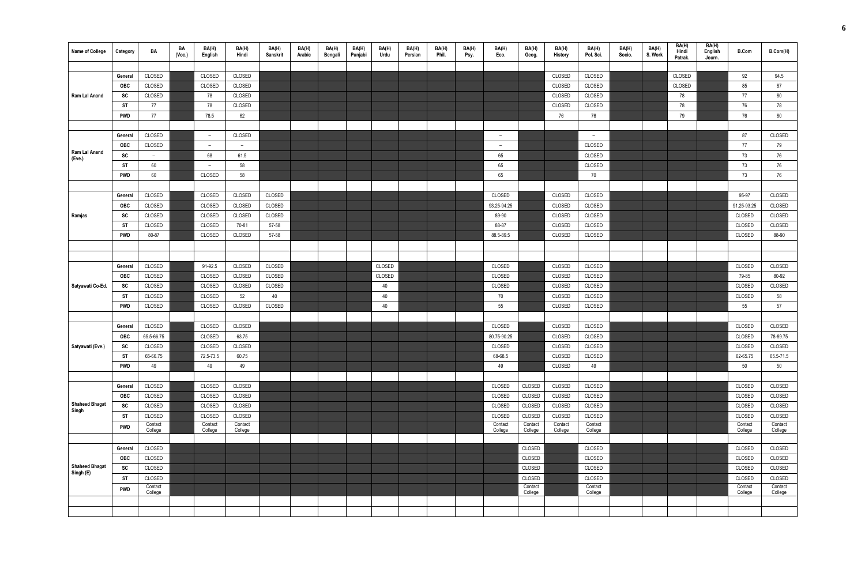| <b>Name of College</b>             | Category   | BA                       | BA<br>(Vec.) | BA(H)<br>English         | BA(H)<br>Hindi           | BA(H)<br><b>Sanskrit</b> | BA(H)<br>Arabic | BA(H)<br>Bengali | BA(H)<br>Punjabi | BA(H)<br>Urdu | BA(H)<br>Persian | BA(H)<br>Phil. | BA(H)<br>Psy. | BA(H)<br>Eco.      | BA(H)<br>Geog.     | BA(H)<br>History   | BA(H)<br>Pol. Sci. | BA(H)<br>Socio. | BA(H)<br>S. Work | BA(H)<br>Hindi<br>Patrak. | BA(H)<br>English<br>Journ. | <b>B.Com</b>       | B.Com(H)           |
|------------------------------------|------------|--------------------------|--------------|--------------------------|--------------------------|--------------------------|-----------------|------------------|------------------|---------------|------------------|----------------|---------------|--------------------|--------------------|--------------------|--------------------|-----------------|------------------|---------------------------|----------------------------|--------------------|--------------------|
|                                    |            |                          |              |                          |                          |                          |                 |                  |                  |               |                  |                |               |                    |                    |                    |                    |                 |                  |                           |                            |                    |                    |
|                                    | General    | CLOSED                   |              | CLOSED                   | CLOSED                   |                          |                 |                  |                  |               |                  |                |               |                    |                    | CLOSED             | CLOSED             |                 |                  | CLOSED                    |                            | 92                 | 94.5               |
|                                    | <b>OBC</b> | CLOSED                   |              | CLOSED                   | CLOSED                   |                          |                 |                  |                  |               |                  |                |               |                    |                    | CLOSED             | CLOSED             |                 |                  | CLOSED                    |                            | 85                 | 87                 |
| Ram Lal Anand                      | SC         | CLOSED                   |              | 78                       | CLOSED                   |                          |                 |                  |                  |               |                  |                |               |                    |                    | CLOSED             | CLOSED             |                 |                  | 78                        |                            | 77                 | 80                 |
|                                    | ST         | 77                       |              | 78                       | CLOSED                   |                          |                 |                  |                  |               |                  |                |               |                    |                    | CLOSED             | CLOSED             |                 |                  | 78                        |                            | 76                 | 78                 |
|                                    | PWD        | 77                       |              | 78.5                     | 62                       |                          |                 |                  |                  |               |                  |                |               |                    |                    | 76                 | 76                 |                 |                  | 79                        |                            | 76                 | 80                 |
|                                    |            |                          |              |                          |                          |                          |                 |                  |                  |               |                  |                |               |                    |                    |                    |                    |                 |                  |                           |                            |                    |                    |
|                                    | General    | CLOSED                   |              | $\overline{\phantom{0}}$ | CLOSED                   |                          |                 |                  |                  |               |                  |                |               | $-$                |                    |                    | $-$                |                 |                  |                           |                            | 87                 | CLOSED             |
|                                    | OBC        | CLOSED                   |              | $\overline{\phantom{0}}$ | $\overline{\phantom{m}}$ |                          |                 |                  |                  |               |                  |                |               | $-$                |                    |                    | CLOSED             |                 |                  |                           |                            | 77                 | 79                 |
| Ram Lal Anand<br>(Eve.)            | <b>SC</b>  | $\overline{\phantom{a}}$ |              | 68                       | 61.5                     |                          |                 |                  |                  |               |                  |                |               | 65                 |                    |                    | CLOSED             |                 |                  |                           |                            | 73                 | 76                 |
|                                    | ST         | 60                       |              | $\overline{\phantom{a}}$ | 58                       |                          |                 |                  |                  |               |                  |                |               | 65                 |                    |                    | CLOSED             |                 |                  |                           |                            | 73                 | 76                 |
|                                    | PWD        | 60                       |              | CLOSED                   | 58                       |                          |                 |                  |                  |               |                  |                |               | 65                 |                    |                    | 70                 |                 |                  |                           |                            | 73                 | 76                 |
|                                    |            |                          |              |                          |                          |                          |                 |                  |                  |               |                  |                |               |                    |                    |                    |                    |                 |                  |                           |                            |                    |                    |
|                                    | General    | CLOSED                   |              | CLOSED                   | CLOSED                   | CLOSED                   |                 |                  |                  |               |                  |                |               | CLOSED             |                    | CLOSED             | CLOSED             |                 |                  |                           |                            | 95-97              | CLOSED             |
|                                    | OBC        | CLOSED                   |              | CLOSED                   | CLOSED                   | CLOSED                   |                 |                  |                  |               |                  |                |               | 93.25-94.25        |                    | CLOSED             | CLOSED             |                 |                  |                           |                            | 91.25-93.25        | CLOSED             |
| Ramjas                             | SC         | CLOSED                   |              | CLOSED                   | CLOSED                   | CLOSED                   |                 |                  |                  |               |                  |                |               | 89-90              |                    | CLOSED             | CLOSED             |                 |                  |                           |                            | CLOSED             | CLOSED             |
|                                    | ST         | CLOSED                   |              | CLOSED                   | 70-81                    | 57-58                    |                 |                  |                  |               |                  |                |               | 88-87              |                    | CLOSED             | CLOSED             |                 |                  |                           |                            | CLOSED             | CLOSED             |
|                                    | <b>PWD</b> | 80-87                    |              | CLOSED                   | CLOSED                   | 57-58                    |                 |                  |                  |               |                  |                |               | 88.5-89.5          |                    | CLOSED             | CLOSED             |                 |                  |                           |                            | CLOSED             | 88-90              |
|                                    |            |                          |              |                          |                          |                          |                 |                  |                  |               |                  |                |               |                    |                    |                    |                    |                 |                  |                           |                            |                    |                    |
|                                    |            |                          |              |                          |                          |                          |                 |                  |                  |               |                  |                |               |                    |                    |                    |                    |                 |                  |                           |                            |                    |                    |
|                                    | General    | CLOSED                   |              | 91-92.5                  | CLOSED                   | CLOSED                   |                 |                  |                  | CLOSED        |                  |                |               | CLOSED             |                    | CLOSED             | CLOSED             |                 |                  |                           |                            | CLOSED             | CLOSED             |
|                                    | <b>OBC</b> | CLOSED                   |              | CLOSED                   | CLOSED                   | CLOSED                   |                 |                  |                  | CLOSED        |                  |                |               | CLOSED             |                    | CLOSED             | CLOSED             |                 |                  |                           |                            | 79-85              | 80-92              |
| Satyawati Co-Ed.                   | SC         | CLOSED                   |              | CLOSED                   | CLOSED                   | CLOSED                   |                 |                  |                  | 40            |                  |                |               | CLOSED             |                    | CLOSED             | CLOSED             |                 |                  |                           |                            | CLOSED             | CLOSED             |
|                                    | <b>ST</b>  | CLOSED                   |              | CLOSED                   | 52                       | 40                       |                 |                  |                  | 40            |                  |                |               | 70                 |                    | CLOSED             | CLOSED             |                 |                  |                           |                            | CLOSED             | 58                 |
|                                    | PWD        | CLOSED                   |              | CLOSED                   | CLOSED                   | CLOSED                   |                 |                  |                  | 40            |                  |                |               | 55                 |                    | CLOSED             | CLOSED             |                 |                  |                           |                            | 55                 | 57                 |
|                                    |            |                          |              |                          |                          |                          |                 |                  |                  |               |                  |                |               |                    |                    |                    |                    |                 |                  |                           |                            |                    |                    |
|                                    | General    | CLOSED                   |              | CLOSED                   | CLOSED                   |                          |                 |                  |                  |               |                  |                |               | CLOSED             |                    | CLOSED             | CLOSED             |                 |                  |                           |                            | CLOSED             | CLOSED             |
|                                    | <b>OBC</b> | 65.5-66.75               |              | CLOSED                   | 63.75                    |                          |                 |                  |                  |               |                  |                |               | 80.75-90.25        |                    | CLOSED             | CLOSED             |                 |                  |                           |                            | CLOSED             | 78-89.75           |
| Satyawati (Eve.)                   | SC         | CLOSED                   |              | CLOSED                   | CLOSED                   |                          |                 |                  |                  |               |                  |                |               | CLOSED             |                    | CLOSED             | CLOSED             |                 |                  |                           |                            | CLOSED             | CLOSED             |
|                                    | ST         | 65-66.75                 |              | 72.5-73.5                | 60.75                    |                          |                 |                  |                  |               |                  |                |               | 68-68.5            |                    | CLOSED             | CLOSED             |                 |                  |                           |                            | 62-65.75           | 65.5-71.5          |
|                                    | PWD        | 49                       |              | 49                       | 49                       |                          |                 |                  |                  |               |                  |                |               | 49                 |                    | CLOSED             | 49                 |                 |                  |                           |                            | 50                 | 50                 |
|                                    |            |                          |              |                          |                          |                          |                 |                  |                  |               |                  |                |               |                    |                    |                    |                    |                 |                  |                           |                            |                    |                    |
|                                    | General    | CLOSED                   |              | CLOSED                   | CLOSED                   |                          |                 |                  |                  |               |                  |                |               | CLOSED             | CLOSED             | CLOSED             | CLOSED             |                 |                  |                           |                            | CLOSED             | CLOSED             |
|                                    | <b>OBC</b> | CLOSED                   |              | CLOSED                   | CLOSED                   |                          |                 |                  |                  |               |                  |                |               | CLOSED             | CLOSED             | CLOSED             | CLOSED             |                 |                  |                           |                            | CLOSED             | CLOSED             |
| <b>Shaheed Bhagat</b><br>Singh     | SC         | CLOSED                   |              | CLOSED                   | CLOSED                   |                          |                 |                  |                  |               |                  |                |               | CLOSED             | CLOSED             | CLOSED             | CLOSED             |                 |                  |                           |                            | CLOSED             | CLOSED             |
|                                    | ST         | CLOSED                   |              | CLOSED                   | CLOSED                   |                          |                 |                  |                  |               |                  |                |               | CLOSED             | CLOSED             | CLOSED             | CLOSED             |                 |                  |                           |                            | CLOSED             | CLOSED             |
|                                    | <b>PWD</b> | Contact<br>College       |              | Contact<br>College       | Contact<br>College       |                          |                 |                  |                  |               |                  |                |               | Contact<br>College | Contact<br>College | Contact<br>College | Contact<br>College |                 |                  |                           |                            | Contact<br>College | Contact<br>College |
|                                    |            |                          |              |                          |                          |                          |                 |                  |                  |               |                  |                |               |                    |                    |                    |                    |                 |                  |                           |                            |                    |                    |
|                                    | General    | CLOSED                   |              |                          |                          |                          |                 |                  |                  |               |                  |                |               |                    | CLOSED             |                    | CLOSED             |                 |                  |                           |                            | CLOSED             | CLOSED             |
|                                    | OBC        | CLOSED                   |              |                          |                          |                          |                 |                  |                  |               |                  |                |               |                    | CLOSED             |                    | CLOSED             |                 |                  |                           |                            | CLOSED             | CLOSED             |
| <b>Shaheed Bhagat</b><br>Singh (E) | SC         | CLOSED                   |              |                          |                          |                          |                 |                  |                  |               |                  |                |               |                    | CLOSED             |                    | CLOSED             |                 |                  |                           |                            | CLOSED             | CLOSED             |
|                                    | <b>ST</b>  | CLOSED                   |              |                          |                          |                          |                 |                  |                  |               |                  |                |               |                    | CLOSED             |                    | CLOSED             |                 |                  |                           |                            | CLOSED             | CLOSED             |
|                                    | <b>PWD</b> | Contact<br>College       |              |                          |                          |                          |                 |                  |                  |               |                  |                |               |                    | Contact<br>College |                    | Contact<br>College |                 |                  |                           |                            | Contact<br>College | Contact<br>College |
|                                    |            |                          |              |                          |                          |                          |                 |                  |                  |               |                  |                |               |                    |                    |                    |                    |                 |                  |                           |                            |                    |                    |
|                                    |            |                          |              |                          |                          |                          |                 |                  |                  |               |                  |                |               |                    |                    |                    |                    |                 |                  |                           |                            |                    |                    |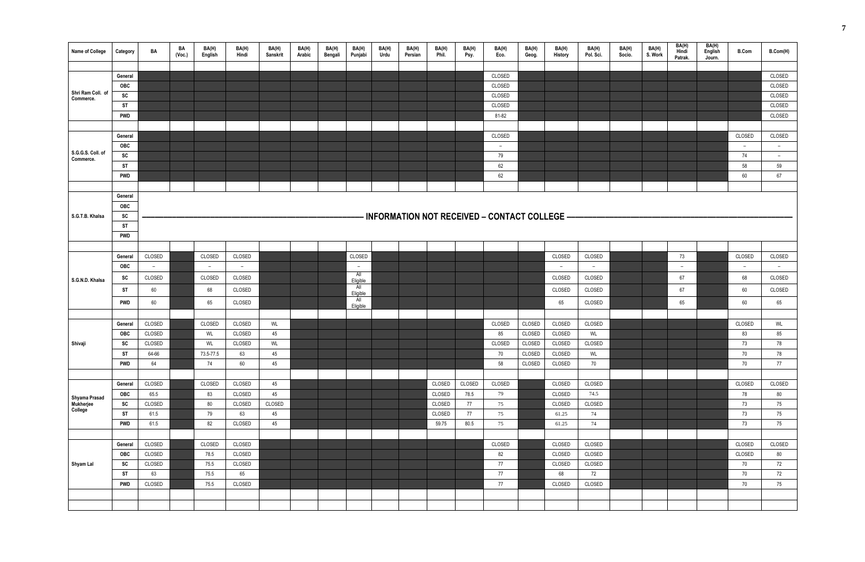| <b>Name of College</b>                | Category       | BA                       | BA<br>(Voc.) | BA(H)<br>English | BA(H)<br>Hindi | BA(H)<br>Sanskrit | BA(H)<br>Arabic | BA(H)<br>Bengali | BA(H)<br>Punjabi | BA(H)<br>Urdu | BA(H)<br>Persian | BA(H)<br>Phil. | BA(H)<br>Psy. | BA(H)<br>Eco.                                | BA(H)<br>Geog. | BA(H)<br>History | BA(H)<br>Pol. Sci. | BA(H)<br>Socio. | BA(H)<br>S. Work | BA(H)<br>Hindi<br>Patrak. | BA(H)<br>English<br>Journ. | <b>B.Com</b> | B.Com(H)                 |
|---------------------------------------|----------------|--------------------------|--------------|------------------|----------------|-------------------|-----------------|------------------|------------------|---------------|------------------|----------------|---------------|----------------------------------------------|----------------|------------------|--------------------|-----------------|------------------|---------------------------|----------------------------|--------------|--------------------------|
|                                       |                |                          |              |                  |                |                   |                 |                  |                  |               |                  |                |               |                                              |                |                  |                    |                 |                  |                           |                            |              |                          |
|                                       | General        |                          |              |                  |                |                   |                 |                  |                  |               |                  |                |               | CLOSED                                       |                |                  |                    |                 |                  |                           |                            |              | CLOSED                   |
| Shri Ram Coll. of                     | OBC            |                          |              |                  |                |                   |                 |                  |                  |               |                  |                |               | CLOSED                                       |                |                  |                    |                 |                  |                           |                            |              | CLOSED                   |
| Commerce.                             | ${\sf sc}$     |                          |              |                  |                |                   |                 |                  |                  |               |                  |                |               | CLOSED                                       |                |                  |                    |                 |                  |                           |                            |              | CLOSED                   |
|                                       | ST             |                          |              |                  |                |                   |                 |                  |                  |               |                  |                |               | CLOSED                                       |                |                  |                    |                 |                  |                           |                            |              | CLOSED                   |
|                                       | <b>PWD</b>     |                          |              |                  |                |                   |                 |                  |                  |               |                  |                |               | 81-82                                        |                |                  |                    |                 |                  |                           |                            |              | CLOSED                   |
|                                       |                |                          |              |                  |                |                   |                 |                  |                  |               |                  |                |               |                                              |                |                  |                    |                 |                  |                           |                            |              |                          |
|                                       | General        |                          |              |                  |                |                   |                 |                  |                  |               |                  |                |               | CLOSED                                       |                |                  |                    |                 |                  |                           |                            | CLOSED       | CLOSED                   |
| S.G.G.S. Coll. of                     | OBC            |                          |              |                  |                |                   |                 |                  |                  |               |                  |                |               | $ \,$                                        |                |                  |                    |                 |                  |                           |                            | $\sim$       | $ \,$                    |
| Commerce.                             | SC             |                          |              |                  |                |                   |                 |                  |                  |               |                  |                |               | 79                                           |                |                  |                    |                 |                  |                           |                            | 74           | $\overline{\phantom{m}}$ |
|                                       | <b>ST</b>      |                          |              |                  |                |                   |                 |                  |                  |               |                  |                |               | 62                                           |                |                  |                    |                 |                  |                           |                            | 58           | 59                       |
|                                       | <b>PWD</b>     |                          |              |                  |                |                   |                 |                  |                  |               |                  |                |               | 62                                           |                |                  |                    |                 |                  |                           |                            | $60\,$       | $67\,$                   |
|                                       | General        |                          |              |                  |                |                   |                 |                  |                  |               |                  |                |               |                                              |                |                  |                    |                 |                  |                           |                            |              |                          |
|                                       | OBC            |                          |              |                  |                |                   |                 |                  |                  |               |                  |                |               |                                              |                |                  |                    |                 |                  |                           |                            |              |                          |
| S.G.T.B. Khalsa                       | SC             |                          |              |                  |                |                   |                 |                  |                  |               |                  |                |               | INFORMATION NOT RECEIVED - CONTACT COLLEGE - |                |                  |                    |                 |                  |                           |                            |              |                          |
|                                       | <b>ST</b>      |                          |              |                  |                |                   |                 |                  |                  |               |                  |                |               |                                              |                |                  |                    |                 |                  |                           |                            |              |                          |
|                                       | <b>PWD</b>     |                          |              |                  |                |                   |                 |                  |                  |               |                  |                |               |                                              |                |                  |                    |                 |                  |                           |                            |              |                          |
|                                       |                |                          |              |                  |                |                   |                 |                  |                  |               |                  |                |               |                                              |                |                  |                    |                 |                  |                           |                            |              |                          |
|                                       | General        | CLOSED                   |              | CLOSED           | CLOSED         |                   |                 |                  | CLOSED           |               |                  |                |               |                                              |                | CLOSED           | CLOSED             |                 |                  | 73                        |                            | CLOSED       | CLOSED                   |
|                                       | OBC            | $\overline{\phantom{0}}$ |              | $ \,$            | $ \,$          |                   |                 |                  | $ \,$            |               |                  |                |               |                                              |                | $ \,$            | $ \,$              |                 |                  | $-$                       |                            | $\sim$       | $ \,$                    |
|                                       | SC             | CLOSED                   |              | CLOSED           | CLOSED         |                   |                 |                  | All              |               |                  |                |               |                                              |                | CLOSED           | CLOSED             |                 |                  | 67                        |                            | 68           | CLOSED                   |
| S.G.N.D. Khalsa                       |                |                          |              |                  |                |                   |                 |                  | Eligible<br>All  |               |                  |                |               |                                              |                |                  |                    |                 |                  |                           |                            |              |                          |
|                                       | ST             | 60                       |              | 68               | CLOSED         |                   |                 |                  | Eligible<br>aii  |               |                  |                |               |                                              |                | CLOSED           | CLOSED             |                 |                  | 67                        |                            | 60           | CLOSED                   |
|                                       | PWD            | 60                       |              | 65               | CLOSED         |                   |                 |                  | Eligible         |               |                  |                |               |                                              |                | 65               | CLOSED             |                 |                  | 65                        |                            | 60           | 65                       |
|                                       |                |                          |              |                  |                |                   |                 |                  |                  |               |                  |                |               |                                              |                |                  |                    |                 |                  |                           |                            |              |                          |
|                                       | General        | CLOSED                   |              | CLOSED           | CLOSED         | WL                |                 |                  |                  |               |                  |                |               | CLOSED                                       | CLOSED         | CLOSED           | CLOSED             |                 |                  |                           |                            | CLOSED       | WL                       |
|                                       | OBC            | CLOSED                   |              | WL               | CLOSED         | 45                |                 |                  |                  |               |                  |                |               | 85                                           | CLOSED         | CLOSED           | WL                 |                 |                  |                           |                            | 83           | 85                       |
| Shivaji                               | SC             | CLOSED                   |              | WL               | CLOSED         | WL                |                 |                  |                  |               |                  |                |               | CLOSED                                       | CLOSED         | CLOSED           | CLOSED             |                 |                  |                           |                            | 73           | 78                       |
|                                       | <b>ST</b>      | 64-66                    |              | 73.5-77.5        | 63             | 45                |                 |                  |                  |               |                  |                |               | 70                                           | CLOSED         | CLOSED           | WL                 |                 |                  |                           |                            | 70           | 78                       |
|                                       | <b>PWD</b>     | 64                       |              | 74               | 60             | 45                |                 |                  |                  |               |                  |                |               | 58                                           | CLOSED         | CLOSED           | 70                 |                 |                  |                           |                            | 70           | 77                       |
|                                       |                |                          |              |                  |                |                   |                 |                  |                  |               |                  |                |               |                                              |                |                  |                    |                 |                  |                           |                            |              |                          |
|                                       | General        | CLOSED                   |              | CLOSED           | CLOSED         | 45                |                 |                  |                  |               |                  | CLOSED         | CLOSED        | CLOSED                                       |                | CLOSED           | CLOSED             |                 |                  |                           |                            | CLOSED       | CLOSED                   |
|                                       | OBC            | 65.5<br>CLOSED           |              | 83               | CLOSED         | 45                |                 |                  |                  |               |                  | CLOSED         | 78.5          | 79                                           |                | CLOSED<br>CLOSED | 74.5               |                 |                  |                           |                            | 78           | 80                       |
| Shyama Prasad<br>Mukherjee<br>College | SC             |                          |              | $80\,$           | CLOSED         | CLOSED            |                 |                  |                  |               |                  | CLOSED         | 77            | 75                                           |                |                  | CLOSED             |                 |                  |                           |                            | 73           | 75                       |
|                                       | <b>ST</b>      | 61.5                     |              | 79               | 63             | 45                |                 |                  |                  |               |                  | CLOSED         | 77            | 75                                           |                | 61.25<br>61.25   | 74<br>74           |                 |                  |                           |                            | 73           | 75                       |
|                                       | <b>PWD</b>     | 61.5                     |              | 82               | CLOSED         | 45                |                 |                  |                  |               |                  | 59.75          | 80.5          | 75                                           |                |                  |                    |                 |                  |                           |                            | 73           | 75                       |
|                                       |                | CLOSED                   |              | CLOSED           | CLOSED         |                   |                 |                  |                  |               |                  |                |               | CLOSED                                       |                | CLOSED           | CLOSED             |                 |                  |                           |                            | CLOSED       | CLOSED                   |
|                                       | General<br>OBC | CLOSED                   |              | 78.5             | CLOSED         |                   |                 |                  |                  |               |                  |                |               | 82                                           |                | CLOSED           | CLOSED             |                 |                  |                           |                            | CLOSED       | 80                       |
| Shyam Lal                             | SC             | CLOSED                   |              | 75.5             | CLOSED         |                   |                 |                  |                  |               |                  |                |               | 77                                           |                | CLOSED           | CLOSED             |                 |                  |                           |                            | 70           | 72                       |
|                                       | <b>ST</b>      | 63                       |              | 75.5             | 65             |                   |                 |                  |                  |               |                  |                |               | 77                                           |                | 68               | 72                 |                 |                  |                           |                            | 70           | 72                       |
|                                       | <b>PWD</b>     | CLOSED                   |              | 75.5             | CLOSED         |                   |                 |                  |                  |               |                  |                |               | 77                                           |                | CLOSED           | CLOSED             |                 |                  |                           |                            | 70           | 75                       |
|                                       |                |                          |              |                  |                |                   |                 |                  |                  |               |                  |                |               |                                              |                |                  |                    |                 |                  |                           |                            |              |                          |
|                                       |                |                          |              |                  |                |                   |                 |                  |                  |               |                  |                |               |                                              |                |                  |                    |                 |                  |                           |                            |              |                          |
|                                       |                |                          |              |                  |                |                   |                 |                  |                  |               |                  |                |               |                                              |                |                  |                    |                 |                  |                           |                            |              |                          |